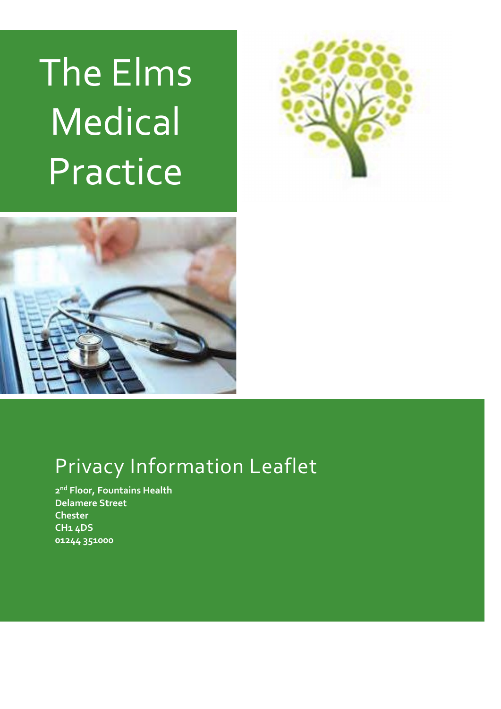# The Elms **Medical** Practice





# Privacy Information Leaflet

2<sup>nd</sup> Floor, Fountains Health Delamere Street **Chester** CH1 4DS 01244 351000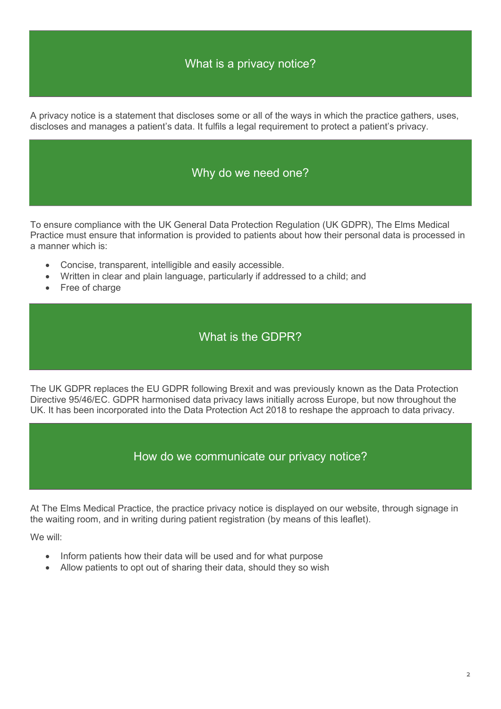# What is a privacy notice?

A privacy notice is a statement that discloses some or all of the ways in which the practice gathers, uses, discloses and manages a patient's data. It fulfils a legal requirement to protect a patient's privacy.

#### Why do we need one?

To ensure compliance with the UK General Data Protection Regulation (UK GDPR), The Elms Medical Practice must ensure that information is provided to patients about how their personal data is processed in a manner which is:

- Concise, transparent, intelligible and easily accessible.
- Written in clear and plain language, particularly if addressed to a child; and
- Free of charge

### What is the GDPR?

The UK GDPR replaces the EU GDPR following Brexit and was previously known as the Data Protection Directive 95/46/EC. GDPR harmonised data privacy laws initially across Europe, but now throughout the UK. It has been incorporated into the Data Protection Act 2018 to reshape the approach to data privacy.

How do we communicate our privacy notice?

At The Elms Medical Practice, the practice privacy notice is displayed on our website, through signage in the waiting room, and in writing during patient registration (by means of this leaflet).

We will:

- Inform patients how their data will be used and for what purpose
- Allow patients to opt out of sharing their data, should they so wish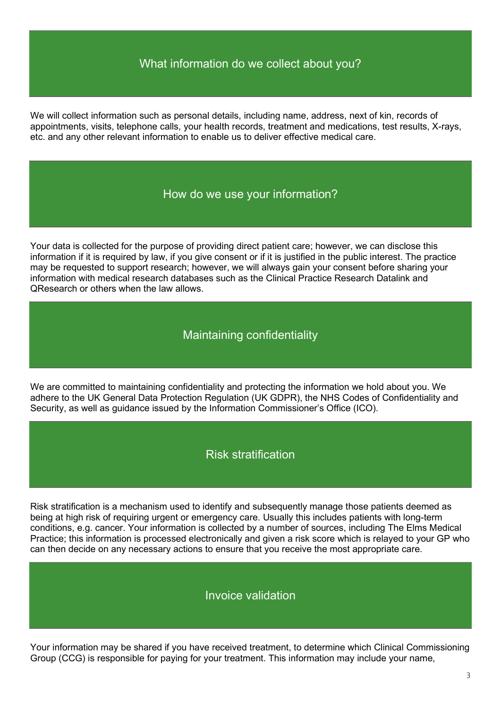# What information do we collect about you?

We will collect information such as personal details, including name, address, next of kin, records of appointments, visits, telephone calls, your health records, treatment and medications, test results, X-rays, etc. and any other relevant information to enable us to deliver effective medical care.

#### How do we use your information?

Your data is collected for the purpose of providing direct patient care; however, we can disclose this information if it is required by law, if you give consent or if it is justified in the public interest. The practice may be requested to support research; however, we will always gain your consent before sharing your information with medical research databases such as the Clinical Practice Research Datalink and QResearch or others when the law allows.

Maintaining confidentiality

We are committed to maintaining confidentiality and protecting the information we hold about you. We adhere to the UK General Data Protection Regulation (UK GDPR), the NHS Codes of Confidentiality and Security, as well as guidance issued by the Information Commissioner's Office (ICO).

#### Risk stratification

Risk stratification is a mechanism used to identify and subsequently manage those patients deemed as being at high risk of requiring urgent or emergency care. Usually this includes patients with long-term conditions, e.g. cancer. Your information is collected by a number of sources, including The Elms Medical Practice; this information is processed electronically and given a risk score which is relayed to your GP who can then decide on any necessary actions to ensure that you receive the most appropriate care.

#### Invoice validation

Your information may be shared if you have received treatment, to determine which Clinical Commissioning Group (CCG) is responsible for paying for your treatment. This information may include your name,